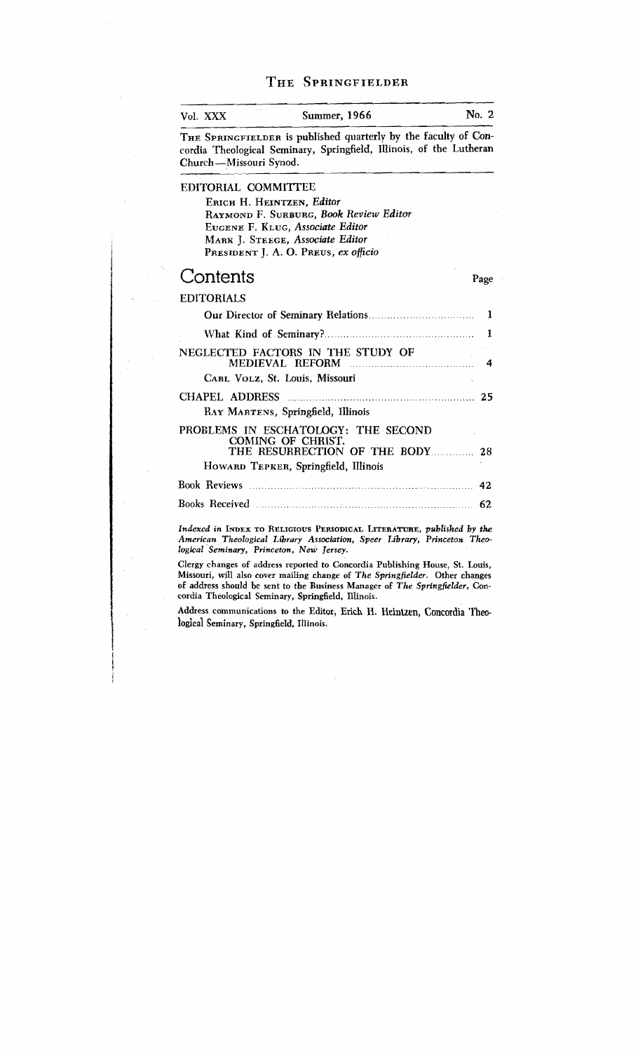## THE SPRINGEIELDER

| Vol. XXX               | Summer, 1966                                                                                                                           | No. 2 |
|------------------------|----------------------------------------------------------------------------------------------------------------------------------------|-------|
| Church-Missouri Synod. | THE SPRINGFIELDER is published quarterly by the faculty of Con-<br>cordia Theological Seminary, Springfield, Illinois, of the Lutheran |       |
| EDITORIAL COMMITTEE    |                                                                                                                                        |       |
|                        | ERICH H. HEINTZEN, Editor                                                                                                              |       |
|                        | RAYMOND F. SURBURG, Book Review Editor                                                                                                 |       |
|                        | EUGENE F. KLUG, Associate Editor                                                                                                       |       |
|                        | MARK J. STEEGE, Associate Editor                                                                                                       |       |
|                        | PRESIDENT J. A. O. PREUS, ex officio                                                                                                   |       |
| Contents               |                                                                                                                                        | Page  |
| <b>EDITORIALS</b>      |                                                                                                                                        |       |
|                        |                                                                                                                                        |       |
|                        |                                                                                                                                        | 1     |
|                        | NEGLECTED FACTORS IN THE STUDY OF                                                                                                      | 4     |
|                        | CARL VOLZ, St. Louis, Missouri                                                                                                         |       |
| CHAPEL ADDRESS         |                                                                                                                                        |       |
|                        | RAY MARTENS, Springfield, Illinois                                                                                                     |       |
|                        | PROBLEMS IN ESCHATOLOGY: THE SECOND<br>COMING OF CHRIST.<br>THE RESURRECTION OF THE BODY 28                                            |       |
|                        | HOWARD TEPKER, Springfield, Illinois                                                                                                   |       |
|                        |                                                                                                                                        | 42    |
|                        |                                                                                                                                        | 62    |
|                        |                                                                                                                                        |       |

*Indexed in* **INDEX TO RELIGIOUS PEIUODICAL LITERATURE,** *published by the American Theological Library Association, Speer Library, Princeton Theological Seminary, Princeton, New Jersey.* 

**Clergy changes of address reported to Concordia Publishing House, St. Louis, Missouri, will also cover maiIing change of** *The Springfielder.* **Other changes of address should be sent to the Business Manager of** *The Springfielder,* **Concordia Theological Seminary, Springfield, Illinois.** 

**Address communications to the Editor, Erich** H. Heintzen, **Concordia Theological Seminary, Springfield, Illinois.**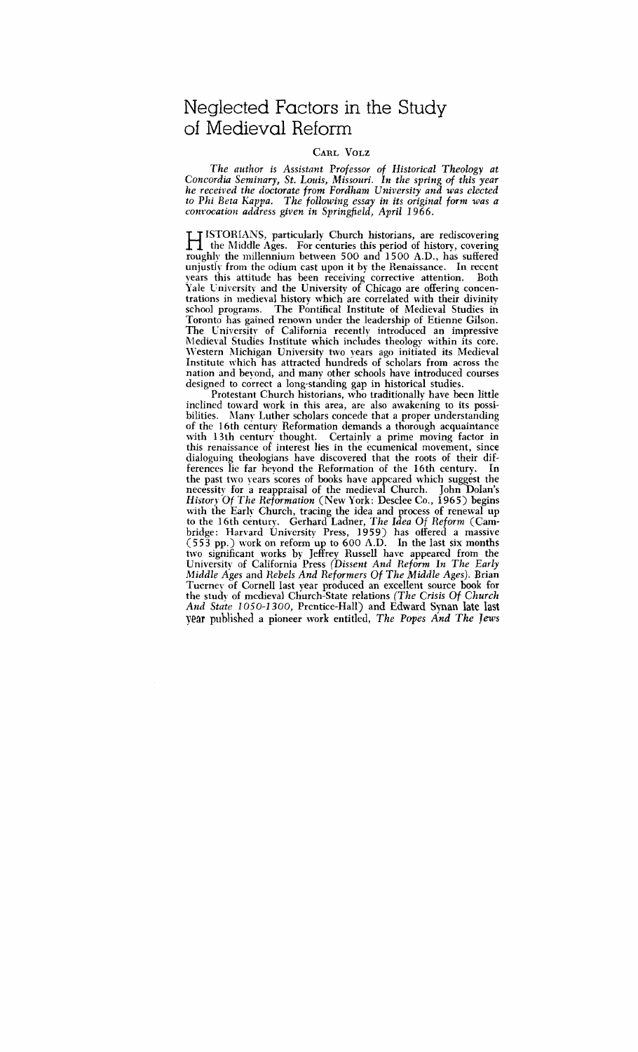# Neglected Factors in the Study of Medieval Reform

#### CARL VOLZ

*The author is Assistant Professor of Historical Theology at Concordia Seminary, St. Louis, Missouri. In the spring of this year ke received the doctorate from Fordham University and was elected to* **Phi** *Beta Kappa. The following essay in its original form was a ~on~~ocation address given in Springfield, April* 1966.

IT ISTORIANS, particularly Church historians, are rediscovering<br>the Middle Ages. For centuries this period of history, covering<br>roughly the millennium between 500 and 1500 A.D., has suffered roughly the millennium between 500 and 1500 A.D., has suffered unjustly from the odium cast upon it by the Renaissance. In recent years this attitude has been receiving corrective attention. Yale University and the University of Chicago are offering concentrations in medieval history which are correlated with their divinity school programs. The Pontifical Institute of Medieval Studies in Toronto has gained renown under the leadership of Etienne Gilson. The Cniversity of California recently introduced an impressive Aledieval Studies Institute which includes theology within its core. \Vestern Michigan University two years ago initiated its Medieval Institute which has attracted hundreds of scholars from across the nation and beyond, and many other schools have introduced courses designed to correct a long-standing gap in historical studies.

Protestant Church historians, who traditionally have been little inclined toward work in this area, are also awakening to its possibilities. Many Luther scholars concede that a proper understanding of the 16th century Reformation demands a thorough acquaintance with 13th century thought. Certainly a prime moving factor in this renaissance of interest lies in the ecumenical movement, since dialoguing theologians have discovered that the roots of their differences lie far hevond the Reformation of the 16th century. In the past two years scores of books have appeared which suggest the necessity for a reappraisal of the medieval Church. John Dolan's *History Of The Reformation* (New York: Desclee Co., 1965) begins with the Early Church, tracing the idea and process of renewal up to the 16th century. Gerhard Ladner, *The Idea* Of *Reform* (Cambridge: Harvard University Press, 1959) has offered a massive (5 53 pp.) work on reform up to 600 A.D. In the last six months two significant works by Jeffrey Russell have appeared from the University of California Press *(Dissent And Reform In The Early Middle Ages* and *Rebels And Reformers Of The Middle Ages).* Brian Tucrney of Cornell last year produced an excellent source book for the stud) of medieval Church-State relations *(The Crisis Of Church And State* 1 05 0-1 3 00, Prentice-Hall) and Edward **Synan late last year** published a pioneer work entitled, *The Popes And The Jews*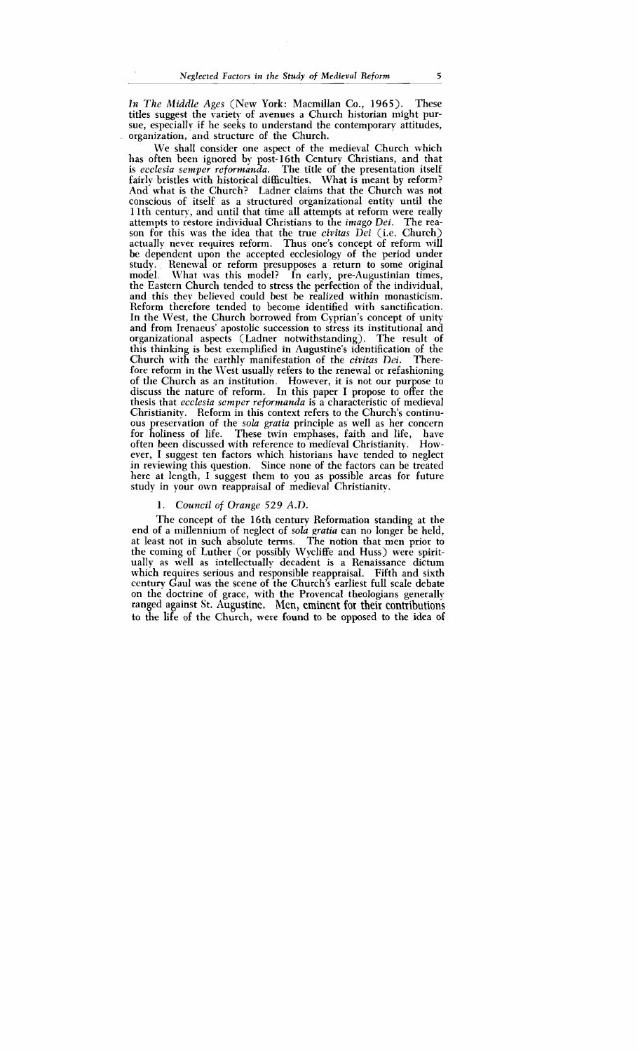*In The Middle Ages* (New York: Macmillan Co., 1965). These titles suggest the variety of avenues a Church historian might pursue, especially if he seeks to understand the contemporary attitudes, organization, and structure of the Church.

We shall consider one aspect of the medieval Church which has often been ignored by post-16th Century Christians, and that is *ecclesia semper rcfonnanda.* The title of the presentation itself fairly bristles with historical difficulties. What is meant by reform? And what is the Church? Ladner claims that the Church was not conscious of itself as a structured organizational entity until the 1 lth century, and until that time all attempts at reform were really attempts to restore individual Christians to the *imago Dei.* The reason for this was the idea that the true *civitus Dei* (i.e. Church) actually never requires reform. Thus one's concept of reform will be dependent upon the accepted ecclesiology of the period under study. Renewal or reform presupposes a return to some original model. What was this model? In early, pre-Augustinian times, What was this model? In early, pre-Augustinian times, the Eastern Church tended to stress the perfection of the individual, and this they believed could best be realized within monasticism. Reform therefore tended to become identified with sanctification. In the West, the Church borrowed from Cyprian's concept of unity and from Irenaeus' apostolic succession to stress its institutional and organizational aspects (Ladner notwithstanding). The result of this thinking is best exemplified in Augustine's identification of the Church with the earthly manifestation of the *civitas Dei*. There-Church with the earthly manifestation of the *civitas Dei*. fore reform in the West usually refers to the renewal or refashioning of the Church as an institution. However, it is not our purpose to discuss the nature of reform. In this paper I propose to offer the thesis that *ecclesia semper reformanda* is a characteristic of medieval Christianity. Reform in this context refers to the Church's continuous preservation of the *sola gratia* principle as well as her concern for holiness of life. These twin emphases, faith and life, have often been discussed with reference to medieval Christianity. However, I suggest ten factors which historians have tended to neglect in reviewing this question. Since none of the factors can be treated here at length, I suggest them to you as possible areas for future study in your own reappraisal of medieval Christianity.

#### 1. *Council of Orange 529 A.D.*

The concept of the 16th century Reformation standing at the end of a millennium of neglect of *sola gratia* can no longer be held, at least not in such absolute terms. The notion that men prior to the coming of Luther (or possibly Wycliffe and Huss) were spiritually as well as intellectually decadent is a Renaissance dictum which requires serious and responsible reappraisal. Fifth and sixth ccntury Gaul was the scene of the Church's earliest full scale debate on the doctrine of grace, with the Provencal theologians generally ranged against St. Augustine. Men, eminent for their contributions to the life of the Church, were found to be opposed to the idea of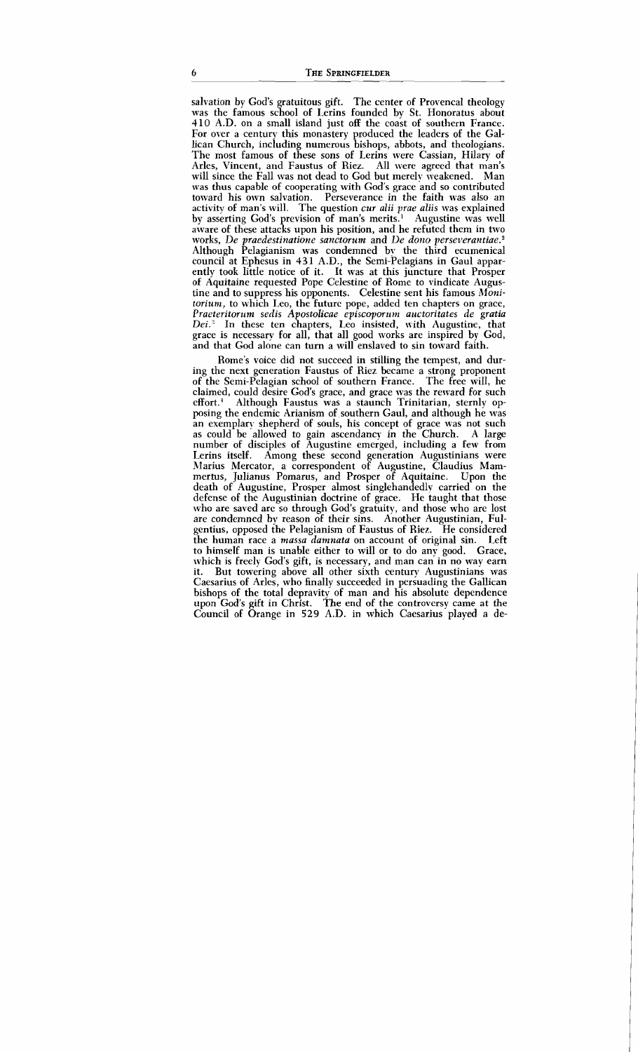salvation by God's gratuitous gift. The center of Provencal theology was the famous school of Lerins founded by St. Honoratus about 410 A.D. on a small island just off the coast of southern France. For over a century this monastery produced the leaders of the Gallican Church, including numerous bishops, abbots, and theologians. The most famous of these sons of Lerins were Cassian, Hilary of Arles, Vincent, and Faustus of Riez. All were agreed that man's will since the Fall was not dead to God but merely weakened. Man was thus capable of cooperating with God's grace and so contributed toward his own salvation. Perseverance in the faith was also an activity of man's will. The question cur alii yrae aliis was explained by asserting God's prevision of man's merits.' Augustine was well aware of these attacks upon his position, and he refuted them in two works, De praedestinatione sanctorum and De dono verseverantiae. $2$ Although Pelagianism was condemned by the third ecumenical council at Ephesus in 431 A.D., the Semi-Pelagians in Gaul apparently took little notice of it. It was at this juncture that Prosper of Aquitaine requested Pope Celestine of Rome to vindicate Augustine and to suppress his opponents. Celestine sent his famous Moni $t$ *torium*, to which Leo, the future pope, added ten chapters on grace, Praeteritorum sedis Apostolicae episcoporum auctoritates de gratia<br>Dei.<sup>3</sup> In these ten chapters. Leo insisted, with Augustine, that In these ten chapters, Leo insisted, with Augustine, that grace is necessary for all, that all good works are inspired by God, and that God alone can turn a will enslaved to sin toward faith.

Rome's voice did not succeed in stilling the tempest, and during the next generation Faustus of Riez became a strong proponent of the Semi-Pelagian school of southern France. The free will, he claimed, could desire God's grace, and grace was the reward for such effort.<sup>4</sup> Although Faustus was a staunch Trinitarian, sternly opposing the endemic Arianism of southern Gaul, and although he was an exemplary shepherd of souls, his concept of grace was not such as could be allowed to gain ascendancy in the Church. A large as could be allowed to gain ascendancy in the Church. number of disciples of Augustine emerged, including a few from Lerins itself. Among these second generation Augustinians were Marius Mercator, a correspondent of Augustine, Claudius Mammertus, Julianus Pomarus, and Prosper of Aquitaine. Upon the death of Augustine, Prosper almost singlehandedly carried on the defense of the Augustinian doctrine of grace. He taught that those who are saved arc so through God's gratuity, and those who are lost are condemned by reason of their sins. Another Augustinian, Fulgentius, opposed the Pelagianism of Faustus of Riez. He considered the human race a massa damnata on account of original sin. Left to himself man is unable either to will or to do any good. Grace, which is freely God's gift, is necessary, and man can in no way earn<br>it. But towering above all other sixth century Augustinians was But towering above all other sixth century Augustinians was Caesarius of Arles, who finally succeeded in persuading the Gallican bishops of the total depravity of man and his absolute dependence upon God's gift in Christ. The end of the controvcrsy came at the Council of Orange in 529 A.D. in which Caesarius played a de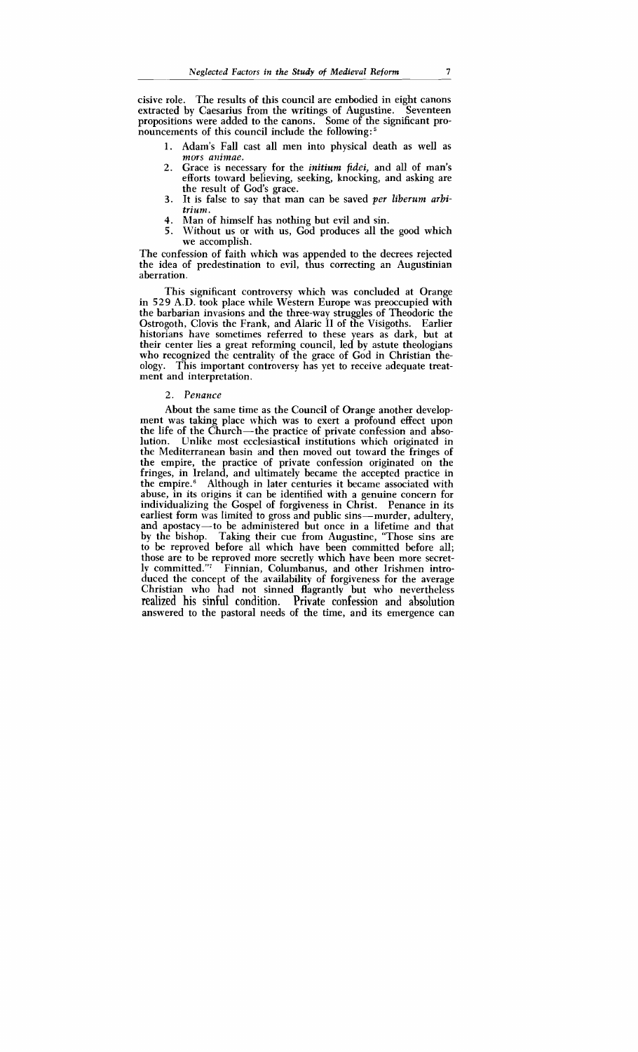cisive role. The results of this council are embodied in eight canons extracted by Caesarius from the writings of Augustine. Seventeen propositions were added to the canons. Some of the significant pronouncements of this council include the following:<sup>5</sup>

- **1.** Adam's Fall cast all men into physical death as well as mors animae.
- **2.** Grace is necessary for the *initium fidei,* and all of man's efforts toward believing, seeking, knocking, and asking are the result of God's grace.
- **3.** It is false to say that man can be saved *per liberum arbitrium.*
- 4. Man of himself has nothing but evil and sin.<br>5. Without us or with us. God produces all the
- Without us or with us, God produces all the good which we accomplish.

The confession of faith which was appended to the decrees rejected the idea of predestination to evil, thus correcting an Augustinian aberration.

This significant controversy which was concluded at Orange in 529 A.D. took place while Western Europe was preoccupied with the barbarian invasions and the three-way struggles of Theodoric the Ostrogoth, Clovis the Frank, and Alaric I1 of the Visigoths. Earlier historians have sometimes referred to these years as dark, but at their center lies a great reforming council, led by astute theologians who recognized the centrality of the grace of God in Christian theology. This important controversy has yet to receive adequate treatment and interpretation.

#### 2. *Penance*

About the same time as the Council of Orange another development was taking place which was to exert a profound effect upon the life of the Church-the practice of private confession and absolution. Unlike most ecclesiastical institutions which originated in the Mediterranean basin and then moved out toward the fringes of the empire, the practice of private confession originated on the fringes, in Ireland, and ultimately became the accepted practice in the empire.<sup>6</sup> Although in later centuries it became associated with abuse, in its origins it can be identified with a genuine concern for individualizing the Gospel of forgiveness in Christ. Penance in its earliest form was limited to gross and public sins—murder, adultery, and apostacy-to be administered but once in a lifetime and that by the bishop. Taking their cue from Augustine, "Those sins are to be reproved before all which have been committed before all; those are to be reproved more secretly which have been more secretly committed."<sup>7</sup> Finnian, Columbanus, and other Irishmen introduced the concept of the availability of forgiveness for the average Christian who had not sinned flagrantly but who nevertheless realized his sinful condition. Private confession and absolution answered to the pastoral needs of the time, and its emergence can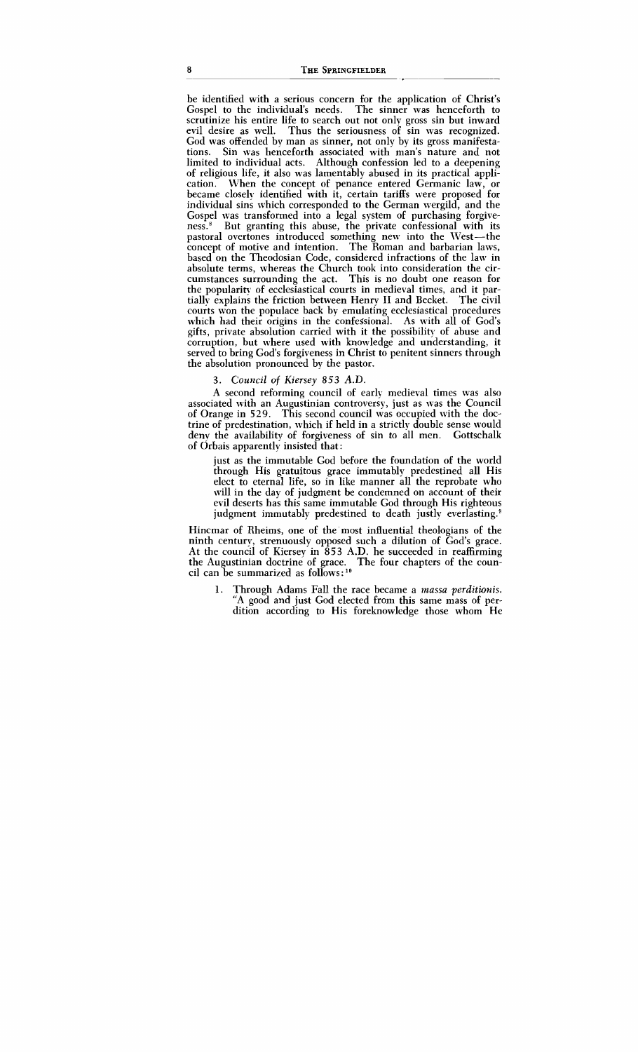be identified with a serious concern for the application of Christ's Gospel to the individual's needs. The sinner was henceforth to scrutinize his entire life to search out not only gross sin but inward evil desire as well. Thus the seriousness of sin was recognized. God was offended by man as sinner, not only by its gross manifestations. Sin was henceforth associated with man's nature and not limited to individual acts. Although confession led to a deepening of religious life, it also was lamentably abused in its practical application. When the concept of penance entered Germanic law, or became closely identified with it, certain tariffs were proposed for individual sins which corresponded to the German wergild, and the Gospel was transformed into a legal system of purchasing forgiveness.<sup>8</sup> But granting this abuse, the private confessional with its pastoral overtones introduced something new into the West-the concept of motive and intention. The Roman and barbarian laws, based on the Theodosian Code, considered infractions of the law in absolute terms, whereas the Church took into consideration the circumstances surrounding the act. This is no doubt one reason for the popularity of ecclesiastical courts in medieval times, and it partially explains the friction between Henry **I1** and Becket. The civil courts won the populace back by emulating ecclesiastical procedures which had their origins in the confessional. As with all of God's gifts, private absolution carried with it the possibility of abuse and corruption, but where used with knowledge and understanding, it served to bring God's forgiveness in Christ to penitent sinners through the absolution pronounced by the pastor.

#### **3.** *Courzcil of Kiersey* **853** *A.D.*

A second reforming council of early medieval times was also associated with an Augustinian controversy, just as was the Council of Orange in 529. This second council was occupied with the doctrine of predestination, which if held in a strictly double sense would deny the availability of forgiveness of sin to all men. Gottschalk of Orbais apparently insisted that:

just as the immutable God before the foundation of the world through His gratuitous grace immutably predestined all His elect to eternal life, so in like manner all the reprobate who will in the day of judgment be condemned on account of their evil deserts has this same immutable God through His righteous judgment immutably predestined to death justly everlasting.<sup>9</sup>

Hincmar of Rheims, one of the most influential theologians of the ninth century, strenuously opposed such a dilution of God's grace. At the council of Kiersey in  $\bar{8}53$  A.D. he succeeded in reaffirming the Augustinian doctrine of grace. The four chapters of the council can be summarized as follows: **lo** 

1. Through Adams Fall the race became a *massa perditwnis.*  "A good and just God elected from this same mass of perdition according to His foreknowledge those whom He

8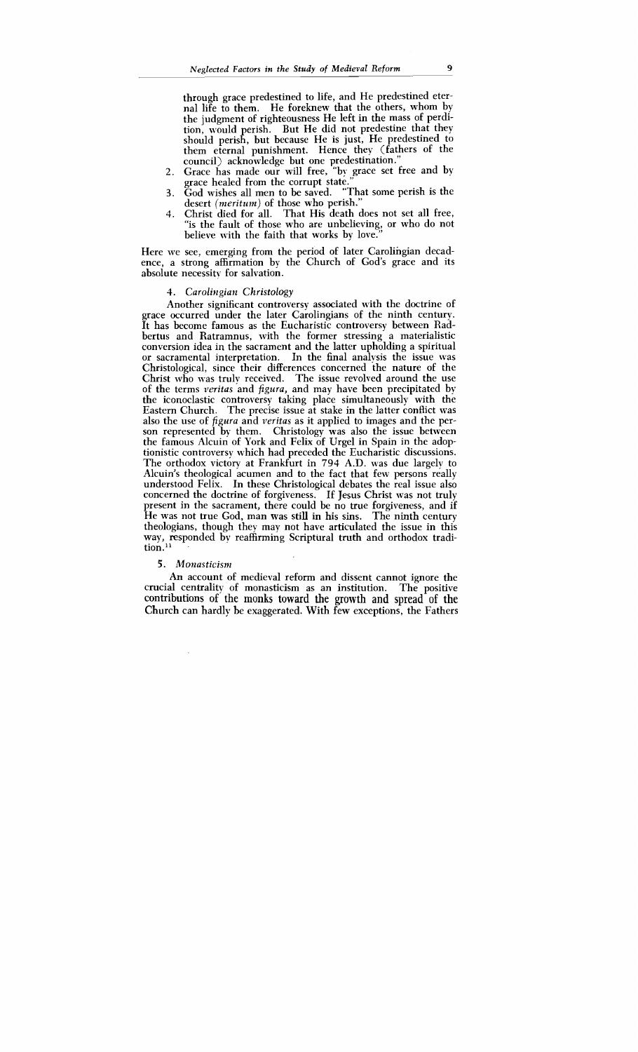through grace predestined to life, and He predestined eternal life to them. He foreknew that the others, whom by the judgment of righteousness He left in the mass of perdition, would perish. But He did not predestine that they should perish, but because He is just, He predestined to them eternal punishment. Hence they (fathers of the council) acknowledge but one predestination."

- **2.** Grace has made our will free, "by grace set free and by grace healed from the corrupt state."
- **3.** God wishes all men to be saved. "That some perish is the desert *(meritum)* of those who perish."
- 4. Christ died for all. That His death does not set all free, "is the fault of those who are unbelieving, or who do not believe with the faith that works by love."

Here we see, emerging from the period of later Carolingian decadence, a strong affirmation by the Church of God's grace and its absolute necessity for salvation.

#### 4. Carolingian Christology

Another significant controversy associated with the doctrine of grace occurred under the later Carolingians of the ninth century. It has become famous as the Eucharistic controversy between Radbertus and Ratramnus, with the former stressing a materialistic conversion idea in the sacrament and the latter upholding a spiritual or sacramental interpretation. In the final analysis the issue was Christological, since their differences concerned the nature of the Christ who was truly received. The issue revolved around the use of the terms veritas and figura, and may have been precipitated by the iconoclastic controversy taking place simultaneously with the Eastern Church. The precise issue at stake in the latter conflict mas also the use of figura and veritas as it applied to images and the person represented by them. Christology was also the issue between the famous Alcuin of York and Felix of Urgel in Spain in the adoptionistic controversy which had preceded the Eucharistic discussions. The orthodox victory at Frankfurt in 794 A.D. was due largely to Alcuin's theological acumen and to the fact that few persons really understood Felix. In these Christological debates the real issue also concerned the doctrine of forgiveness. If Jesus Christ was not truly present in the sacrament, there could be no true forgiveness, and if He was not true God, man was still in his sins. The ninth century theologians, though they may not have articulated the issue in this way, responded by reaffirming Scriptural truth and orthodox tradi- $\min^{11}$ 

#### 5. Monasticism

An account of medieval reform and dissent cannot ignore the crucial centrality of monasticism as an institution. The positive **contributions of** the monks toward the growth and spread of the Church can hardly be exaggerated. With few exceptions, the Fathers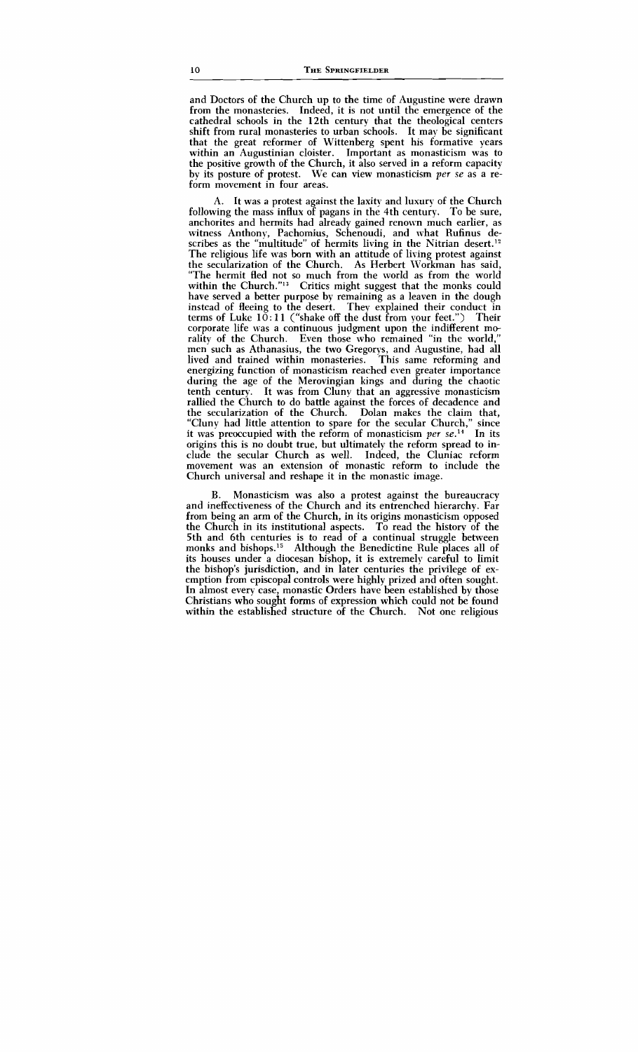and Doctors of the Church up to the time of Augustine were drawn from the monasteries. Indeed, it is not until the emergence of the cathedral schools in the 12th century that the theological centers shift from rural monasteries to urban schools. It may be significant that the great reformer of Wittenberg spent his formative years within an Augustinian cloister. Important as monasticism was to the positive growth of the Church, it also served in a reform capacity by its posture of protest. We can view monasticism per se as a reform movement in four areas.

A. It was a protest against the laxity and luxury of the Church following the mass influx of pagans in the 4th century. To be sure, anchorites and hermits had already gained renown much earlier, as witness Anthony, Pachomius, Schenoudi, and what Rufinus describes as the "multitude" of hermits living in the Nitrian desert.<sup>12</sup> The religious life was born with an attitude of living protest against the secularization of the Church. As Herbert Workman has said, "The hermit fled not so much from the world as from the world within the Church."<sup>13</sup> Critics might suggest that the monks could have served a better purpose by remaining as a leaven in the dough instead of fleeing to the desert. They explained their conduct in terms of Luke  $10:11$  ("shake off the dust from your feet.") Their corporate life was a continuous judgment upon the indifferent morality of the Church. Even those who remained "in the world," men such as Athanasius, the two Gregorys, and Augustine, had all lived and trained within monasteries. This same reforming and energizing function of monasticism reached even greater importance during the age of the Merovingian kings and during the chaotic tenth century. It was from Clunv that an aggressive monasticism rallied the Church to do battle against the forces of decadence and the secularization of the Church. Dolan makes the claim that, "Cluny had little attention to spare for the secular Church," since it was preoccupied with the reform of monasticism per  $se^{14}$ . In its origins this is no doubt true, but ultimately the reform spread to include the secular Church as well. Indeed, the Cluniac reform movement was an extension of monastic reform to include the Church universal and reshape it in the monastic image.

B. Monasticism was also a protest against the bureaucracy and ineffectiveness of the Church and its entrenched hierarchy. Far from being an arm of the Church, in its origins monasticism opposed the Church in its institutional aspects. To read the history of the 5th and 6th centuries is to read of a continual struggle between monks and bishops.<sup>15</sup> Although the Benedictine Rule places all of its houses under a diocesan bishop, it is extremely careful to limit the bishop's jurisdiction, and in later centuries the privilege of exemption from episcopal controls were highly prized and often sought. In almost every case, monastic Orders have been established by those Christians who sought forms of expression which could not be found within the established structure of the Church. Not one religious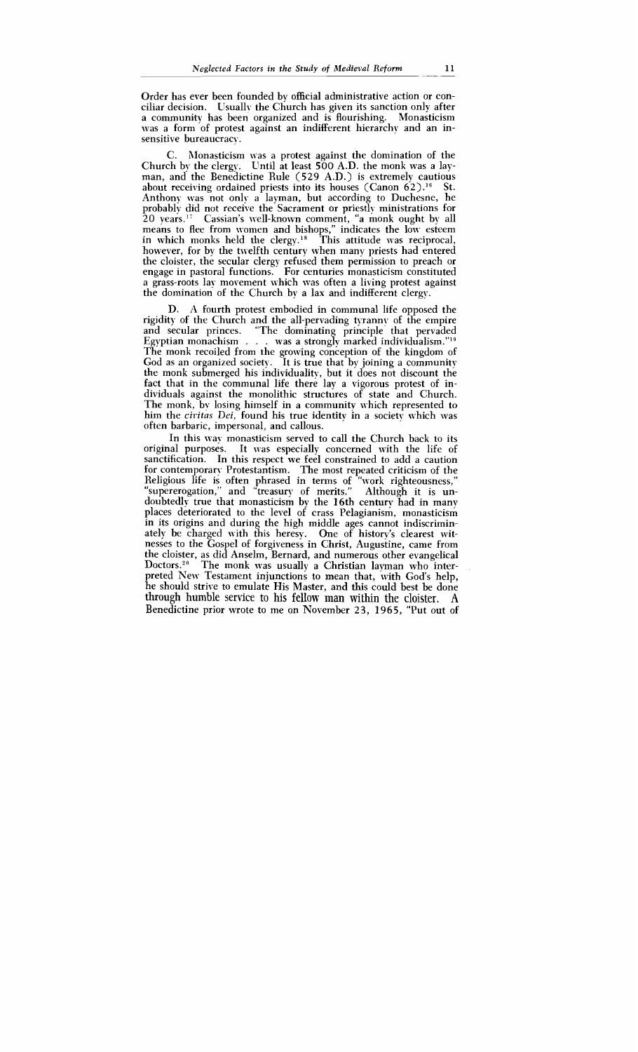Order has ever been founded by official administrative action or conciliar decision. Usually the Church has given its sanction only after<br>a community has been organized and is flourishing. Monasticism a community has been organized and is flourishing. was a form of protest against an indifferent hierarchy and an insensitive bureaucracy.

C. Rlonasticism was a protest against the domination of the Church by the clergy. Until at least 500 A.D. the monk was a layman, and the Benedictine Rule (529 A.D.) is extremely cautious about receiving ordained priests into its houses (Canon  $62$ ).<sup>16</sup> St. Anthony was not only a layman, but according to Duchesne, he probably did not receive the Sacrament or priestly ministrations for  $20$  years.<sup>17</sup> Cassian's well-known comment, "a monk ought by all means to flee from women and bishops," indicates the low esteem in which monks held the clergy.<sup>18</sup> This attitude was reciprocal, however, for by the twelfth century when many priests had entered the cloister, the secular clergy refused them permission to preach or engage in pastoral functions. For centuries monasticism constituted a grass-roots lay movement which was often a living protest against the domination of the Church by a lax and indifferent clergy.

D. **A** fourth protest embodied in communal life opposed the rigidity of the Church and the all-pervading tyrannv of the empire and secular princes. "The dominating principle that pervaded<br>Egyptian monachism . . . was a strongly marked individualism."'<sup>9</sup> The monk recoiled from the growing conception of the kingdom of God as an organized society. It is true that by joining a community the monk submerged his individuality, but it does not discount the fact that in the communal life there lay a vigorous protest of individuals against the monolithic structures of state and Church. The monk, bv losing himself in a community which represented to him the civitas Dei, found his true identity in a society which was often barbaric, impersonal, and callous.

In this way monasticism served to call the Church back to its original purposes. It was especially concerned with the life of sanctification. In this respect we feel constrained to add a caution for contemporary Protestantism. The most repeated criticism of the Religious life is often phrased in terms of "work righteousness," "supererogation," and "treasury of merits." Although it is undoubtedly true that monasticism by the 16th century had in many places deteriorated to the level of crass Pelagianism, monasticism in its origins and during the high middle ages cannot indiscriminately be charged with this heresy. One of history's clearest witnesses to the Gospel of forgiveness in Christ, Augustine, came from the cloister, as did Anselm, Bernard, and numerous other evangelical Doctors.<sup>20</sup> The monk was usually a Christian layman who interpreted New Testament injunctions to mean that, with God's help, he should strive to emulate His Master, and this could best be done through humble service to his fellow man within the cloister. A Benedictine prior wrote to me on November 23, 1965, "Put out of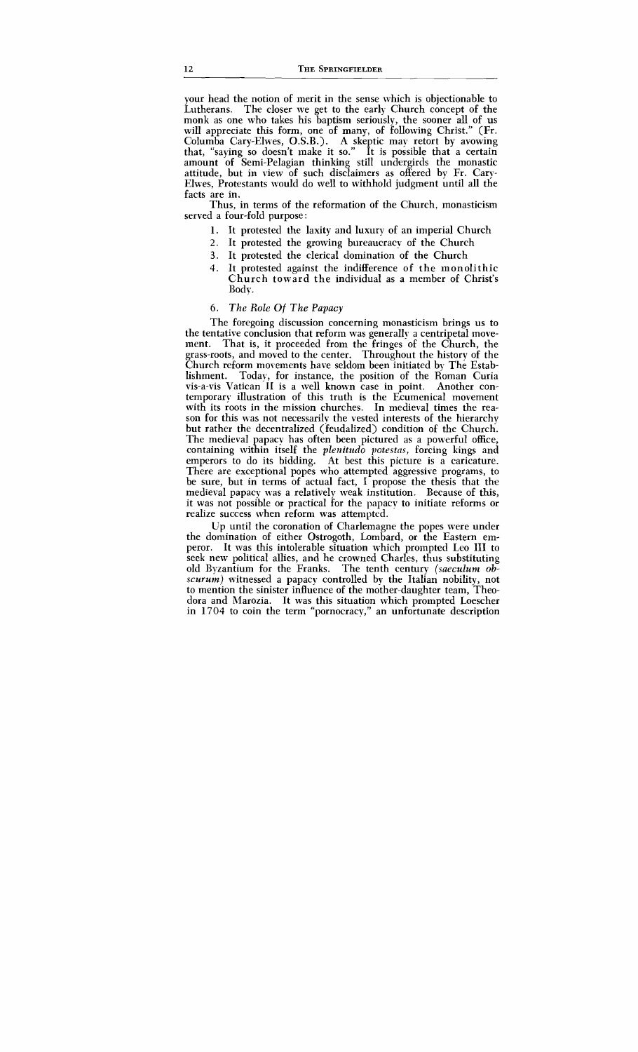your head the notion of merit in the sense which is objectionable to Lutherans. The closer we get to the early Church concept of the monk as one who takes his baptism seriously, the sooner all of us will appreciate this form, one of many, of following Christ." (Fr. Columba Cary-Elwes, O.S.B.). A skeptic may retort by avowing that, "saying so doesn't make it so." It is possible that a certain amount of Semi-Pelagian thinking still undergirds the monastic attitude, but in view of such disclaimers as offered by Fr. Cary-Elwes, Protestants would do well to withhold judgment until all the facts are in.

Thus, in terms of the reformation of the Church, monasticism served a four-fold purpose :

- **1.** It protested the laxity and luxury of an imperial Church
- *2.* It protested the growing bureaucracy of the Church
- **3.** It protested the clerical domination of the Church
- 4. It protested against the indifference of the monolithic Church toward the individual as a member of Christ's Body.

#### *6. The Role Of The Papacy*

The foregoing discussion concerning monasticism brings us to the tentative conclusion that reform was generally a centripetal move-<br>ment. That is, it proceeded from the fringes of the Church, the That is, it proceeded from the fringes of the Church, the grass-roots, and moved to the center. Throughout the history of the Church reform movements have seldom been initiated by The Establishment. Today, for instance, the position of the Roman Curia vis-a-vis Vatican I1 is a well known case in point. Another contemporary illustration of this truth is the Ecumenical movement with its roots in the mission churches. In medieval times the reason for this was not necessarily the vested interests of the hierarchy but rather the decentralized (feudalized) condition of the Church. The medieval papacy has often been pictured as a powerful office, containing within itself the *plenitudo* potestas, forcing kings and emperors to do its bidding. At best this picture is a caricature. There are exceptional popes who attempted aggressive programs, to be sure, but in terms of actual fact, I propose the thesis that the medieval papacy was a relatively weak institution. Because of this, it was not possible or practical for the papacv to initiate reforms or realize success when reform was attempted.

Up until the coronation of Charlemagne the popes were under the domination of either Ostrogoth, Lombard, or the Eastern emperor. It was this intolerable situation which prompted Leo **111** to seek new political allies, and he crowned Charles, thus substituting old Byzantium for the Franks. The tenth century *(saeculum obscurum)* witnessed a papacy controlled by the Italian nobility, not to mention the sinister influence of the mother-daughter team, Theodora and Marozia. It was this situation which prompted Loescher in 1704 to coin the term "pornocracy," an unfortunate description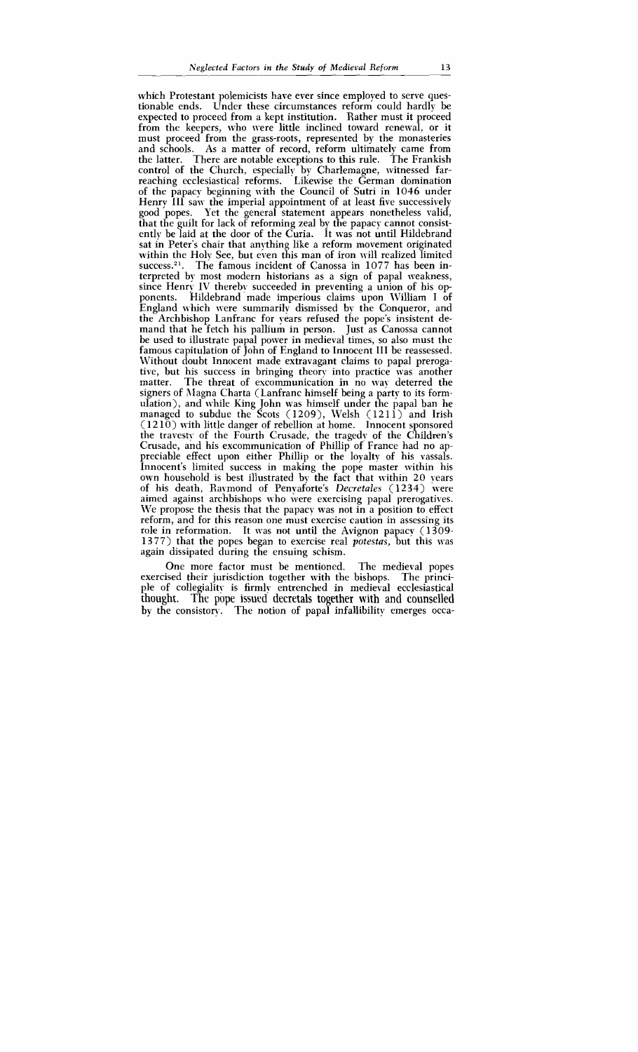which Protestant polemicists have ever since employed to serve questionable ends. Under these circumstances reform could hardly be expected to proceed from a kept institution. Rather must it proceed from the keepers, who were little inclined toward renewal, or it must proceed from the grass-roots, represented by the monasteries and schools. As a matter of record, reform ultimately came from the latter. There are notable exceptions to this rule. The Frankish There are notable exceptions to this rule. The Frankish control of the Church, especially by Charlemagne, witnessed farreaching ecclesiastical reforms. Likewise the German domination of the papacy beginning with the Council of Sutri in 1046 under Henry III saw the imperial appointment of at least five successively good popes. Yet the general statement appears nonetheless valid, that the guilt for lack of reforming zeal by the papacy cannot consistently be laid at the door of the Curia. It was not until Hildebrand sat in Peter's chair that anything like a reform movement originated within the Holy See, but even this man of iron will realized limited success.<sup>21</sup>. The famous incident of Canossa in 1077 has been interpreted by most modern historians as a sign of papal weakness, since Henry IV thereby succeeded in preventing a union of his opponents. Hildebrand made imperious claims upon William I of England which were summarily dismissed by the Conqueror, and the Archbishop Lanfranc for years refused the pope's insistent demand that he fetch his pallium in person. Just as Canossa cannot be used to illustrate papal power in medieval times, so also must the famous capitulation of John of England to Innocent III be reassessed. Without doubt Innocent made extravagant claims to papal prerogative, but his success in bringing theory into practice was another The threat of excommunication in no way deterred the signers of Magna Charta (Lanfranc himself being a party to its formulation), and while King John was himself under the papal ban he managed to subdue the Scots  $(1209)$ , Welsh  $(1211)$  and Irish  $(1210)$  with little danger of rebellion at home. Innocent sponsored the travesty of the Fourth Crusade, the tragedy of the Children's Crusade, and his excommunication of Phillip of France had no appreciable effect upon either Phillip or the loyalty of his vassals. Innocent's limited success in making the pope master within his own household is best illustrated by the fact that within 20 years of his death, Raymond of Penyaforte's *Dectetales* (1234) were aimed against archbishops who were exercising papal prerogatives. We propose the thesis that the papacy was not in a position to effect reform, and for this reason one must exercise caution in assessing its role in reformation. It was not until the Avignon papacy  $(1309 -$ 1377) that the popes began to exercise real *yotestas,* but this was again dissipated during the ensuing schism.

One more factor must be mentioned. The medieval popes exercised their jurisdiction together with the bishops. The principle of collegiality is firmly entrenched in medieval ecclesiastical thought. The pope issued decretals together with and counselled by the consistory. The notion of papal infallibility emerges occa-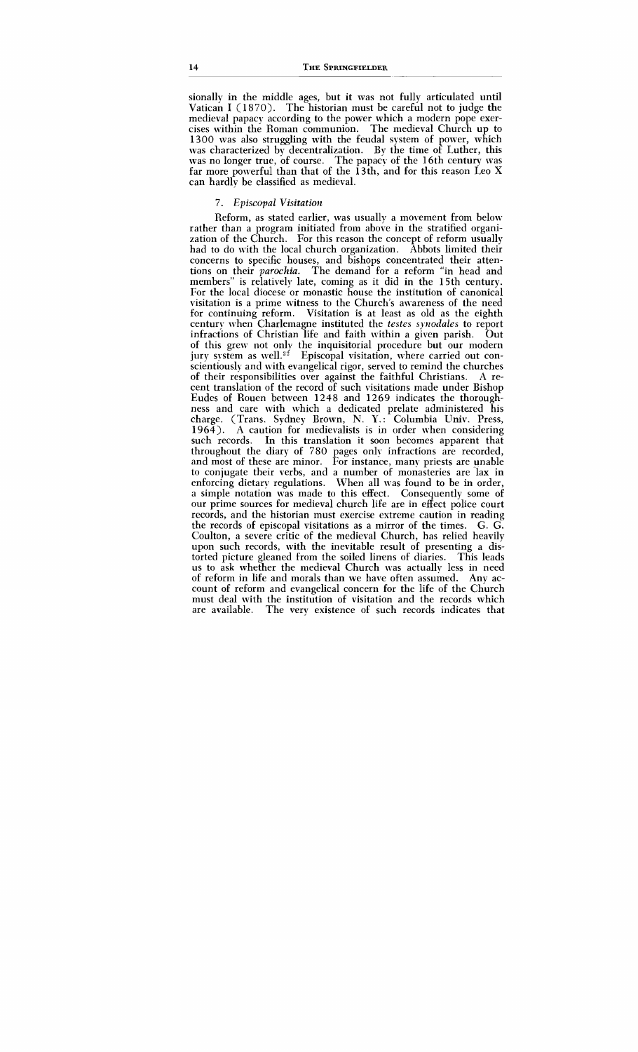sionally in the middle ages, but it was not fully articulated until Vatican I ( 1870). The historian must be careful not to judge the medieval papacy according to the power which a modern pope exercises within the Roman communion. The medieval Church up to 1300 was also struggling with the feudal system of power, which was characterized by decentralization. By the time of Luther, this was no longer true, of course. The papacy of the 16th century was far more powerful than that of the  $13th$ , and for this reason Leo X can hardly be classified as medieval.

#### 7. *Episcopal Visitation*

Reform, as stated earlier, was usually a movement from below rather than a program initiated from above in the stratified organization of the Church. For this reason the concept of reform usually had to do with the local church organization. Abbots limited their concerns to specific houses, and bishops concentrated their attentions on their *parochia.* The demand for a reform "in head and members" is relatively late, coming as it did in the 15th century. For the local diocese or monastic house the institution of canonical visitation is a prime witness to the Church's awareness of the need for continuing reform. Visitation is at least as old as the eighth century when Charlemagne instituted the *testes sjrzodales* to report infractions of Christian life and faith within a given parish. Out of this grew not only the inquisitorial procedure but our modern jury system as well.<sup>22</sup> Episcopal visitation, where carried out conscientiously and with evangelical rigor, served to remind the churches of their responsibilities over against the faithful Christians. A recent translation of the record of such visitations made under Bishop Eudes of Rouen between 1248 and 1269 indicates the thoroughness and care with which a dedicated prelate administered his charge. (Trans. Sydney Brown, **N.** Y.: Columbia Univ. Press, A caution for medievalists is in order when considering such records. In this translation it soon becomes apparent that throughout the diary of 780 pages only infractions are recorded, and most of these are minor. For instance, many priests are unable to conjugate their verbs, and a number of monasteries are lax in enforcing dietary regulations. When all was found to be in order, a simple notation was made to this effect. Consequently some of our prime sources for medieval church life are in effect police court records, and the historian must exercise extreme caution in reading the records of episcopal visitations as a mirror of the times. G. G. Coulton, a severe critic of the medieval Church, has relied heavily upon such records, with the inevitable result of presenting a distorted picture gleaned from the soiled linens of diaries. This leads us to ask whether the medieval Church was actually less in need of reform in life and morals than we have often assumed. Any account of reform and evangelical concern for the life of the Church must deal with the institution of visitation and the records which are available. The very existence of such records indicates that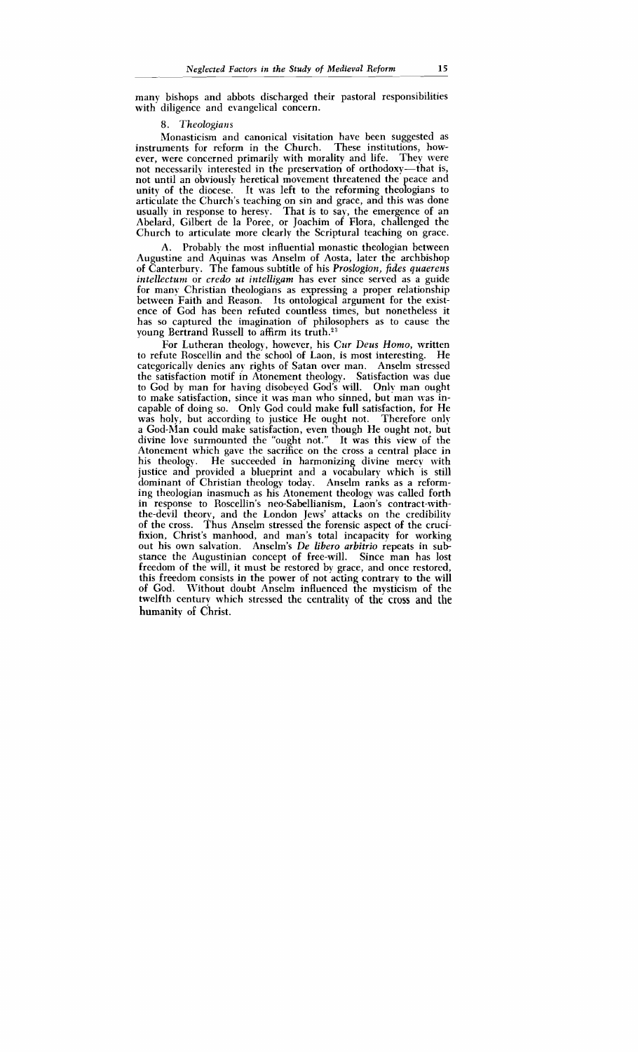many bishops and abbots discharged their pastoral responsibilities with diligence and evangelical concern.

#### **8.** *Theologians* -

Monasticism and canonical visitation have been suggested as instruments for reform in the Church. These institutions, however, were concerned primarily with morality and life. They were not necessarily interested in the preservation of orthodoxy-that is, not until an obviously heretical movement threatened the peace and unity of the diocese. It was left to the reforming theologians to articulate the Church's teaching on sin and grace, and this was done usually in response to heresy. That is to say, the emergence of an Abelard, Gilbert de la Poree, or Joachim of Flora, challenged the Church to articulate more clearly the Scriptural teaching on grace.

A. Probably the most influential monastic theologian between Augustine and Aquinas was Anselm of Aosta, later the archbishop of Canterbury. The famous subtitle of his *Proslogion*, fides *quaerens intellectum* or *credo ut intelligam* has ever since served as a guide for many Christian theologians as expressing a proper relationship between Faith and Reason. Its ontological argument for the existence of God has been refuted countless times, but nonetheless it has so captured the imagination of philosophers as to cause the voung Bertrand Russell to affirm its truth.<sup>23</sup>

For Lutheran theology, however, his *Cur Deus Homo*, written<br>fute Boscellin and the school of Laon, is most interesting. He to refute Roscellin and the school of Laon, is most interesting. categorically denies any rights of Satan over man. Anselm stressed the satisfaction motif in Atonement theology. Satisfaction was due to God by man for having disobeyed God's will. Only man ought to make satisfaction, since it was man who sinned, but man was incapable of doing so. Only God could make full satisfaction, for He was holy, but according to justice He ought not. Therefore only a God-Rlan could make satisfaction, even though He ought not, but divine love surmounted the "ought not." It was this view of the Atonement which gave the sacrifice on the cross a central place in his theology. He succeeded in harmonizing divine mercy with justice and provided a blueprint and a vocabulary which is still dominant of Christian theology today. Anselm ranks as a reforming theologian inasmuch as his Atonement theology was called forth in response to Roscellin's neo-Sabellianism, Laon's contract-withthe-devil theory, and the London Jews' attacks on the credibility of the cross. Thus Anselm stressed the forensic aspect of the crucifixion, Christ's manhood, and man's total incapacity for working out his own salvation. Anselm's *De libero arbitrio* repeats in substance the Augustinian concept of free-will. Since man has lost freedom of the will, it must be restored by grace, and once restored, this freedom consists in the power of not acting contrary to the will<br>of God. Without doubt Anselm influenced the mysticism of the Without doubt Anselm influenced the mysticism of the twelfth centurv which stressed the centrality of the cross and **the**  humanity of Christ.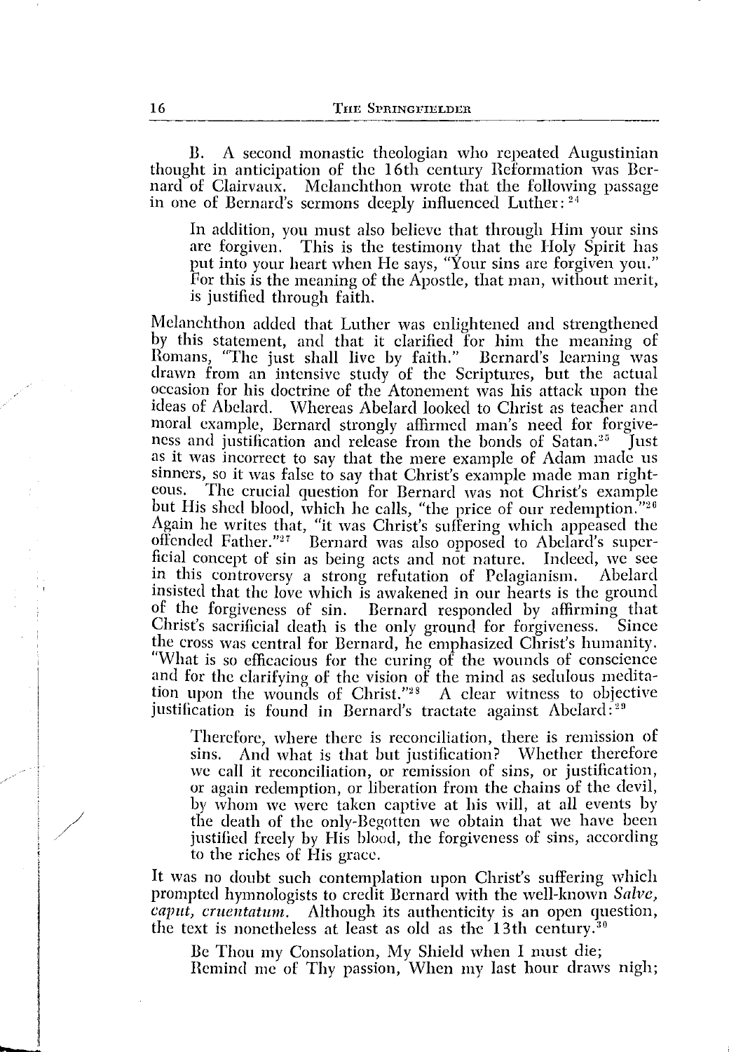B. A second monastic theologian who repeated Augustinian thought in anticipation of the 16th century Reformation was Bernard of Clairvaux. Melanchthon wrote that the following passage in one of Bernard's sermons deeply influenced Luther: <sup>21</sup>

In addition, you must also believe that through Him your sins arc forgiven. This is the testimony that the Holy Spirit has put into your heart when He says, "Your sins are forgiven you." For this is the meaning of the Apostle, that man, without merit, is justified through faith.

Melanchthon added that Luther was enlightened and strengthened by this statement, and that it clarified for him the meaning of Romans, "The just shall live by faith." Bernard's learning was drawn from an intensive study of the Scriptures, but the actual occasion for his doctrine of the Atonement was his attack upon the ideas of Abelard. Whereas Abelard looked to Christ as teacher and moral example, Bernard strongly affirmed man's need for forgiveness and justification and release from the bonds of Satan.<sup>25</sup> Just as it was incorrect to say that the mere example of Adam made us sinners, so it was false to say that Christ's example made man right-<br>eous. The crucial question for Bernard was not Christ's example The crucial question for Bernard was not Christ's example but His shed blood, which he calls, "the price of our redemption."<sup>26</sup> Again he writes that, "it was Christ's suffering which appeased the offended Father." 27 Bernard was also opposed to Abelard's superficial concept of sin as being acts and not nature. Indeed, we see in this controversy a strong refutation of Pelagianism. insisted that the love which is awakened in our hearts is the ground of the forgiveness of sin. Bernard responded by affirming that Christ's sacrificial death is the only ground for forgiveness. Since the cross was central for Bernard, he emphasized Christ's humanity. "Whar is so efficacious for the curing of the wounds of conscience and for the clarifying of the vision of the mind as sedulous meditation upon the wounds of Christ." $28$  A clear witness to objective justification is found in Bernard's tractate against Abelard:<sup>29</sup>

Therefore, where there is reconciliation, there is remission of sins. And what is that but justification? Whether therefore And what is that but justification? Whether therefore we call it reconciliation, or remission of sins, or justification, or again redemption, or liberation from the chains of the devil, by whom we were taken captive at his will, at all events by the death of the only-Begotten we obtain that we have been justified freely by His blood, the forgiveness of sins, according to the riches of His grace.

It was no doubt such contemplation upon Christ's suffering which prompted hymnologists to credit Bernard with the well-known *Salve, caput, cruentatum,* Although its authenticity is an open question, the text is nonetheless at least as old as the  $13th$  century.<sup>30</sup>

Be Thou my Consolation, My Shield when I must die; Remind me of Thy passion, When my last hour draws nigh;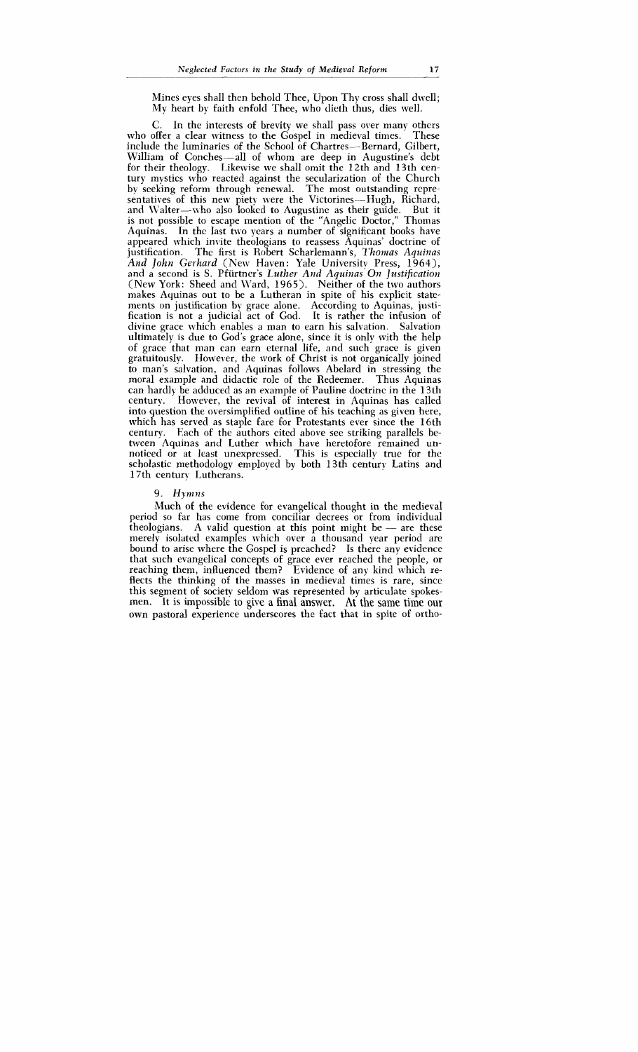Mines eyes shall then behold Thee, Upon Thy cross shall dwell; My heart by faith enfold Thee, who dieth thus, dies well.

C. In the interests of brevity we shall pass over many others who offer a clear witness to the Gospel in medieval times. These include the luminaries of the School of Chartres--Bernard, Gilbert, William of Conches-all of whom are deep in Augustine's debt for their theology. Likewise we shall omit the 12th and 13th century mystics who reacted against the secularization of the Church by seeking reform through renewal. The most outstanding repre $s$ entatives of this new piety were the Victorines-Hugh, Richard, and Walter-who also looked to Augustine as their guide. But it is not possible to escape mention of the "Angelic Doctor," Thomas Aquinas. In the last two years a number of significant books have appeared which invite theologians to reassess Aquinas' doctrine of justification. The first is Robert Scharlemann's, *'I'homas Aquinas*  And *John Gerhard* (New Haven: Yale University Press, 1964), and a second is S. Pfürtner's *Luther And Aquinas On Justification* (New York: Sheed and Ward, 1965). Neither of the two authors makes Aquinas out to be a Lutheran in spite of his explicit statements on justification by grace alone. According to Aquinas, justification is not a judicial act of God. It is rather the infusion of divine grace which enables a man to earn his salvation. Salvation ultimately is due to God's grace alone, since it is only with the help of grace that man can earn eternal life, and such grace is given gratuitously. However, the work of Christ is not organically joined to man's salvation, and Aquinas follows Abelard in stressing the moral example and didactic role of the Redeemer. Thus Aquinas can hardl) be adduced as an example of Pauline doctrine in the 13th However, the revival of interest in Aquinas has called into question the oversimplified outline of his teaching as given here, which has served as staple fare for Protestants ever since the 16th century. Each of the authors cited above see striking parallels be-Each of the authors cited above see striking parallels between Aquinas and Luther which have heretofore remained unnoticed or at least unexpressed. This is especially true for the scholastic methodology employed by both 13th century Latins and 17th century Lutherans.

#### 9. Hymns

Much of the evidence for evangelical thought in the medieval period so far has come from conciliar decrees or from individual Much of the evidence for evangelical thought in the medieval<br>period so far has come from conciliar decrees or from individual<br>theologians. A valid question at this point might be - are these<br>merely isolated examples which merely isolated examples which over a thousand year period are bound to arise where the Gospel is preached? Is there any evidence that such evangelical concepts of grace ever reached the people, or reaching them, influenced them? Evidence of any kind which reflects the thinking of the masses in medieval times is rare, since this segment of society seldom was represented by articulate spokesmen. It is impossible to give a final answer. At the same time our own pastoral experience underscores the fact that in spite of ortho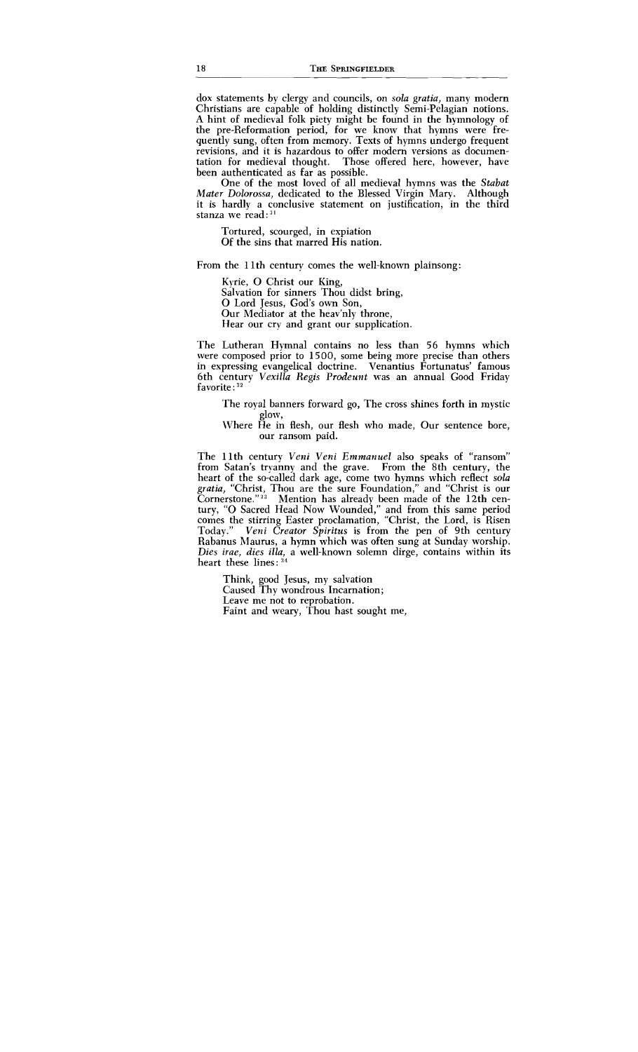dox statements by clergy and councils, on *soh gratia,* many modern Christians are capable of holding distinctly Semi-Pelagian notions. A hint of medieval folk piety might be found in the hymnology of the pre-Reformation period, for we know that hymns were frequently sung, often from memory. Texts of hymns undergo frequent revisions, and it is hazardous to offer modern versions as documentation for medieval thought. Those offered here, however, have Those offered here, however, have been authenticated as far as possible.

One of the most loved of all medieval hymns was the *Stabat Mater Dolorossa,* dedicated to the Blessed Virgin Mary. Although it is hardly a conclusive statement on justification, in the third stanza we read: **<sup>21</sup>**

Tortured, scourged, in expiation Of the sins that marred His nation.

From the 1 lth century comes the well-known plainsong:

Kyrie, 0 Christ our King, Salvation for sinners Thou didst bring, 0 Lord Jesus, God's own Son, Our Mediator at the heav'nly throne, Hear our cry and grant our supplication.

The Lutheran Hymnal contains no less than 56 hymns which were composed prior to 1500, some being more precise than others in expressing evangelical doctrine. Venantius Fortunatus' famous 6th century *Vexilla Regis Prodeunt* was an annual Good Friday favorite : **<sup>32</sup>**

The royal banners forward go, The cross shines forth in mystic glow,

\Vhere He in flesh, our flesh who made, Our sentence bore, our ransom paid.

The 1 lth century *Veni Veni Emmanuel* also speaks of "ransom" from Satan's tryanny and the grave. From the 8th century, the heart of the so-called dark age, come two hymns which reflect *soh gratia,* "Christ, Thou are the sure Foundation," and "Christ is our Cornerstone."<sup>33</sup> Mention has already been made of the 12th century, "0 Sacred Head Now Wounded," and from this same period comes the stirring Easter proclamation, "Christ, the Lord, is Risen Today." *Veni Creator Spiritus* is from the pen of 9th century Rabanus Maurus, a hymn which was often sung at Sunday worship. Dies irae, dies illa, a well-known solemn dirge, contains within its heart these lines : **<sup>34</sup>**

Think, good Jesus, my salvation Caused Thy wondrous Incarnation; Leave me not to reprobation. Faint and weary, Thou hast sought me,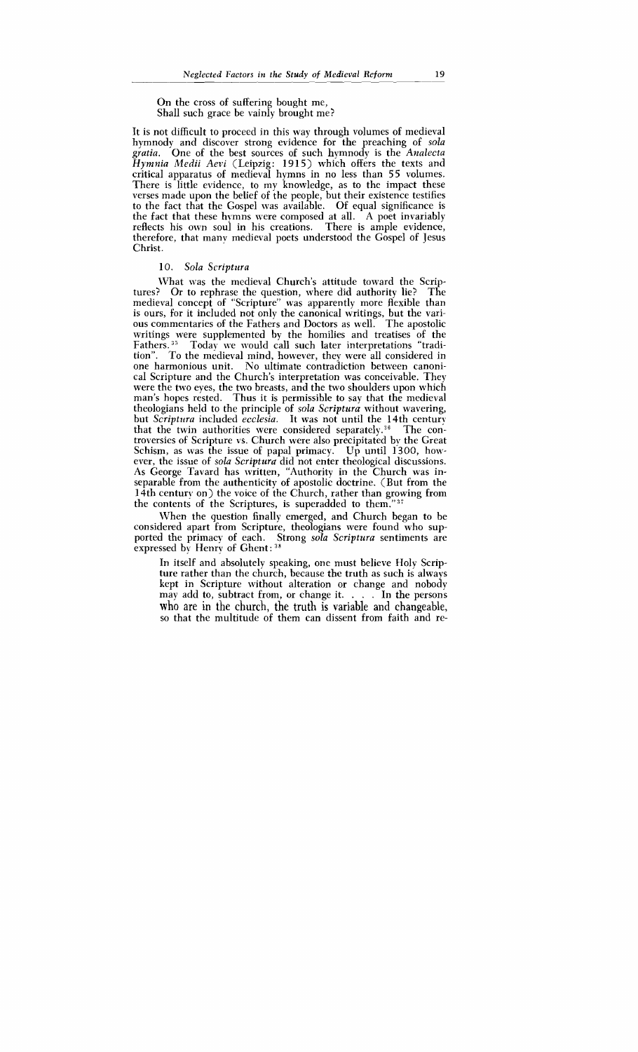On the cross of suffering bought me, Shall such grace be vainly brought me?

It is not difficult to proceed in this way through volumes of medieval hymnody and discover strong evidence for the preaching of *sola gratia.* One of the best sources of such hymnody is the *Analecta Hymnia Medii Aevi* (Leipzig: 1915) which offers the texts and critical apparatus of medieval hymns in no less than 55 volumes. There is little evidence, to my knowledge, as to the impact these verses made upon the belief of the people, but their existence testifies to the fact that the Gospel was available. Of equal significance is the fact that these hymns were composed at all. A poet invariably reflects his own soul in his creations. There is ample evidence, therefore, that many medieval poets understood the Gospel of Jesus Christ.

#### 10. Sola Scriptura

IVhat was the medieval Church's attitude toward the Scriptures? Or to rephrase the question, where did authority lie? The medieval concept of "Scripture" was apparently more flexible than is ours, for it included not only the canonical writings, but the various commentaries of the Fathers and Doctors as well. The apostolic writings were supplemented by the homilies and treatises of the Fathers.<sup>35</sup> Today we would call such later interpretations "tradition". To the medieval mind, however, they were all considered in To the medieval mind, however, they were all considered in one harmonious unit. No ultimate contradiction between canonical Scripture and the Church's interpretation was conceivable. They were the two eyes, the two breasts, and the two shoulders upon which man's hopes rested. Thus it is permissible to say that the medieval theologians held to the principle of *sola Scriptura* without wavering, but *Scriptura* included *ecclesia*. It was not until the 14th century that the twin authorities were considered separately.<sup>36</sup> The conthat the twin authorities were considered separately.<sup>36</sup> troversies of Scripture vs. Church were also precipitated by the Great Schism, as was the issue of papal primacy. Up until  $1300$ , however, the issue of *sola Scriptura* did not enter theological discussions. As George Tavard has written, "Authority in the Church was inseparable from the authenticity of apostolic doctrine. (But from the 14th century on) the voice of the Church, rather than growing from the contents of the Scriptures, is superadded to them.''3i

When the question finally emerged, and Church began to be considered apart from Scripture, theologians were found who supported the primacy of each. Strong *sola Scriptura* sentiments are expressed by Henry of Ghent: **<sup>38</sup>**

In itself and absolutely speaking, one must believe Holy Scripture rather than the church, because the truth as such is always kept in Scripture without alteration or change and nobody may add to, subtract from, or change it. . . . In the persons who are in the church, the truth is variable and changeable, so that the multitude of them can dissent from faith and re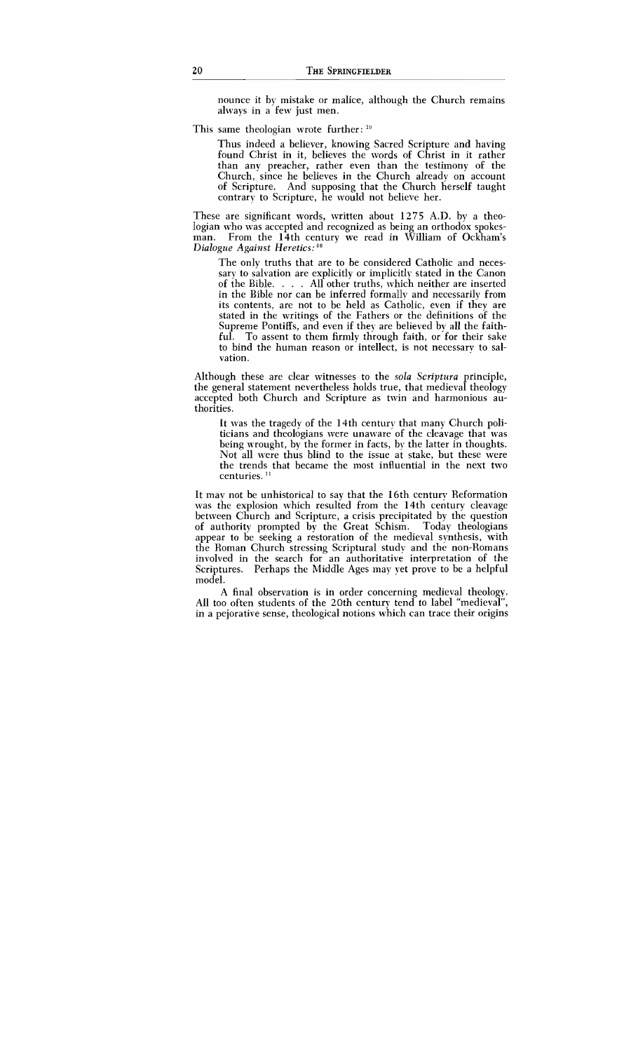nounce it by mistake or malice, although the Church remains always in a few just men.

This same theologian wrote further: 39

Thus indeed a believer, knowing Sacred Scripture and having found Christ in it, believes the words of Christ in it rather than any preacher, rather even than the testimony of the Church, since he believes in the Church already on account of Scripture. And supposing that the Church herself taught contrary to Scripture, he would not believe her.

These are significant words, written about 1275 A.D. by a theologian who was accepted and recognized as being an orthodox spokesman. From the 14th century we read in William of Ockham's *Dialogue Against Heretics:*<sup>40</sup>

The only truths that are to be considered Catholic and necessary to salvation are explicitly or implicitly stated in the Canon of the Bible. . . . All other truths, which neither are inserted in the Bible nor can be inferred formally and necessarily from its contents, are not to be held as Catholic, even if they are stated in the writings of the Fathers or the definitions of the Supreme Pontiffs, and even if they are believed by all the faithful. To assent to them firmly through faith, or for their sake to bind the human reason or intellect, is not necessary to salvation.

Although these are clear witnesses to the *sola Scriptura* principle, the general statement nevertheless holds true, that medieval theology accepted both Church and Scripture as twin and harmonious authorities.

It was the tragedy of the 14th century that many Church politicians and theologians were unaware of the cleavage that was being wrought, by the former in facts, by the latter in thoughts. Not all were thus blind to the issue at stake, but these were the trends that became the most influential in the next two centuries.<sup>11</sup>

It may not be unhistorical to say that the 16th century Reformation was the explosion which resulted from the 14th century cleavage between Church and Scripture, a crisis precipitated by the question of authority prompted by the Great Schism. Today theologians appear to be seeking a restoration of the medieval synthesis, with the Roman Church stressing Scriptural study and the non-Romans involved in the search for an authoritative interpretation of the Scriptures. Perhaps the Middle Ages may yet prove to be a helpful model.

**A** final observation is in order concerning medieval theology. All too often students of the 20th century tend to label "medieval", in a pejorative sense, theological notions which can trace their origins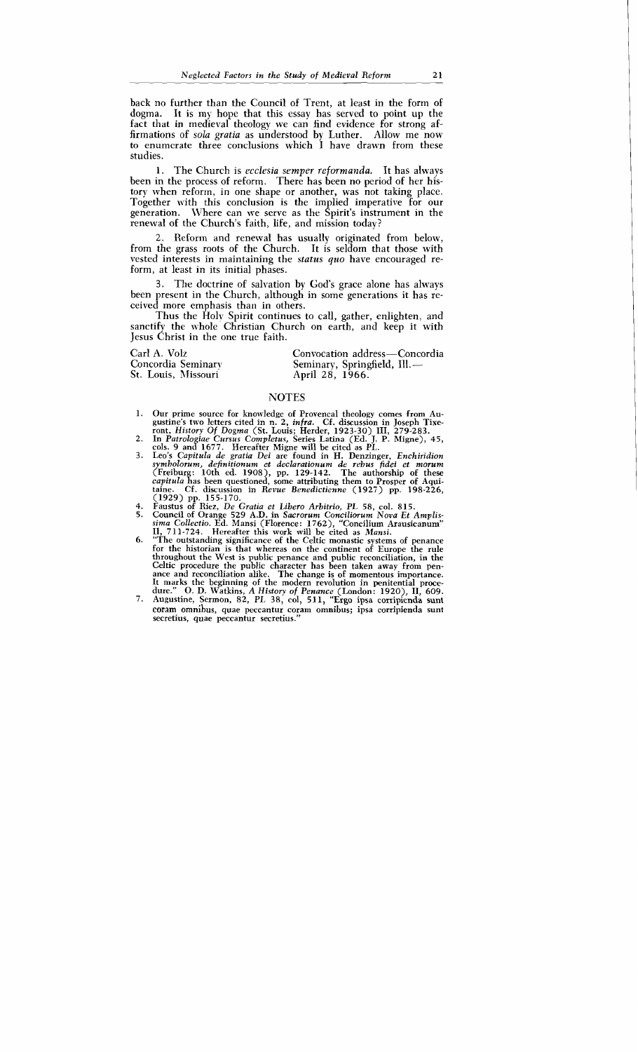back no further than the Council of Trent, at least in the form of doema. It is my hope that this essay has served to point up the It is my hope that this essay has served to point up the fact that in medieval theology we can find evidence for strong affirmations of *sola gratia* as understood by Luther. Allow me now to enumcrate three conclusions which I have drawn from these studies.

1. The Church is *ecclesia semper reformanda.* It has always been in the process of reform. There has been no period of her history when reform, in one shape or another, was not taking place. Together with this conclusion is the implied imperative for our generation. Where can we serve as the Spirit's instrument in the renewal of the Church's faith, life, and mission today?

2. Reform and renewal has usually originated from below, from the grass roots of the Church. It is seldom that those with vested interests in maintaining the *status* quo have encouraged reform, at least in its initial phases.

3. The doctrine of salvation by God's grace alone has always been present in the Church, although in some generations it has received more emphasis than in others.

Thus the Holy Spirit continues to call, gather, enlighten, and sanctify the whole Christian Church on earth, and keep it with Jesus Christ in the one true faith.

Carl A. Volz Concordia Seminary St. Louis, Missouri

Convocation address—Concord Convocation address—Concord<br>Seminary, Springfield, Ill.—<br>April 28, 1966.

### **NOTES**

- 1. Our prime source for knowledge of Provencal theology comes from Augustine's two letters cited in n. 2,  $infra$ . Cf. discussion in Joseph Tixegustine's two letters cited in n. 2, *infra.* Cf. discussion in Joseph Tixe-
- ront, *History Of Dogma* (St. Louis; Herder, 1923-30) III, 279-283.<br>2. In *Patrologiae Cursus Completus, Series Latina (Ed. J. P. Migne), 45,*<br>cols. 9 and 1677. Hereafter Migne will be cited as PL.<br>3. Leo's *Capitula de gr*
- *symbolorurn, definitionurn ct declarationurn de rebus fidei et mmum* (Freiburg: 10th ed. 1908), pp. 129-142. The authorship of these *capitula* has been questioned, some attributing them to Prosper of **Aqui**taine. Cf. discussion in *Revue Benedictienne* (1927) pp. 198-226, (1929) pp. 155-170.
- 
- 4. Faustus of Riez, *De Gratia et Libero Arbitrio, PL 58,* col. 815. 5. Council of Orange 529 A.D. in *Sacrorum Conciliorum Nova Et Amplissima Collectio.* Ed. Mansi (Florence: 1762), "Concilium Arausicanum"
- **11,** 711-724. Hereafter this work will be cited as *Mansi.*  6. "The outstanding significance of the Celtic monastic systems of penance for the historian is that whereas on the continent of Europe the rule throughout the West is public penance and public reconciliation, in the Celtic procedure the public character has been taken away from penance and reconciliation alike. The change is of momentous importance.<br>It marks the beginning of the modern revolution in penitential procedure." O. D. Watki
- 7. Augustine, Sermon, 82, *PL* 38, col, 51 1, "Ergo ipsa corripienda sunt coram omnibus, quae peccantur coram omnibus; ipsa corripienda sunt secretius, quae peccantur secretius."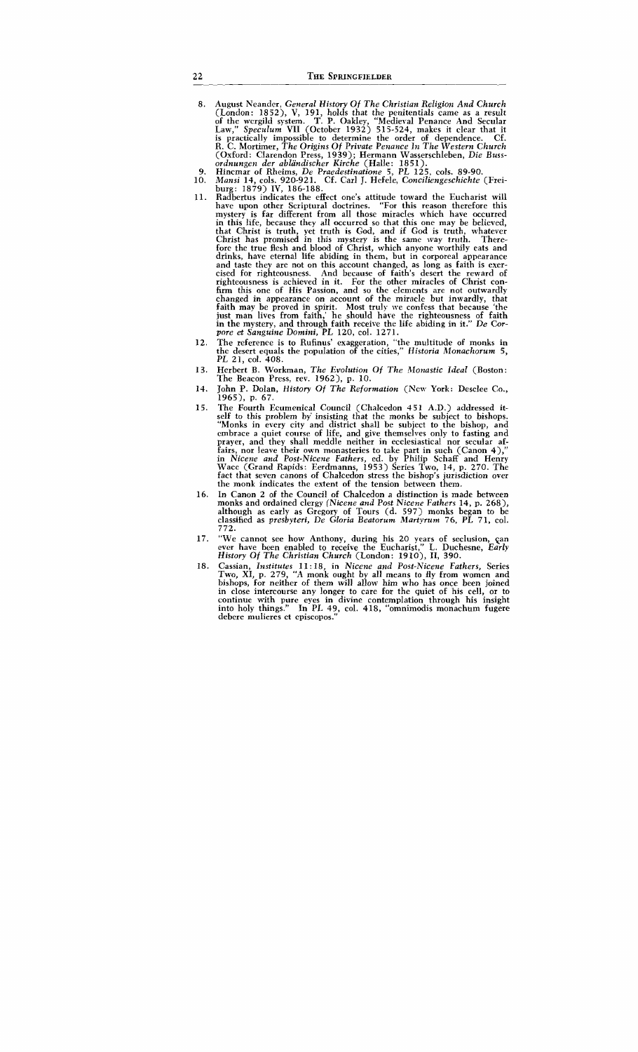- 8. August Neandcr, General History Of The Christian Religion And Church (London: **1852),** V, **191,** holds that the penitentials came as a result of the wcrgild system. T. P. Oakley, "Medieval Penance And Secular Law," Speculum VII (October **1932) 515-524,** makes it clear that it is practically impossible to determine the order of dependence. Cf. R. C. Mortimer, The Origins Of Private Penance In The Western Church (Oxford: Clarendon Press, **1939);** Hermann Wasserschleben, Die Bussordnungen der abliindischer Kirehe (Halle: **185 1).**
- 9.
- Hincmar of Rheims, De Praedestinatione 5, PL **125,** cols. **89-90.**  lMansi **14,** cols. **920-921.** Cf. Carl **J.** Hcfele, Conciliengeschichte (Frei- $10.$ burg: **1879)** IV, **186-188.**
- 11. Radbertus indicates the effect one's attitude toward the Eucharist will have upon other Scriptural doctrines. "For this reason therefore this mystery is far different from all those miracles which have occurred in this life, because they all occurred so that this one may be believed, that Christ is truth, yet truth is God, and if God is truth, whatever Christ has promised in this mystery is the same way truth. There-fore the true flesh and blood of Christ, which anyone worthily eats and drinks, have eternal life abiding in them, but in corporeal appearance and taste they are not on this account changed, as long as faith is exercised for righteousness. And because of faith's desert the reward of righteousness is achieved in it. For the other miracles of Christ conrighteousness is achieved in it. For the other miracles of Christ con- firm this one of His Passion, and so the elements are not outwardly changed in appearance on account of the miracle but inwardly, that faith may be proved in spirit. Most truly we confcss that because 'the just man lives from faith,' he should hare the righteousness of faith in the mystery, and through faith receive the life abiding in it." De Corpore et Sanguine Dornini, PL **120,** col. **1271.**
- $12.$ The reference is to Rufinus' exaggeration, "the multitude of monks in the desert equals the population of the cities," Historia Monachorum 5, PL **21,** col. **408.**
- 13. Herbert B. Workman, The Evolution Of The Monastic Ideal (Boston: The Beacon Press, rev. **1962),** p. **10.**
- John P. Dolan, History Of The Reformation (New York: Desclee Co., 14. **1965),** p. **67.**
- The Fourth Ecumenical Council (Chalcedon **4 5 1** A.D.) addressed it-15. self to this problem by insisting that the monks be subject to bishops. "Monks in every city and district shall be subject to the bishop, and cmbrace a quiet course of life, and give themselves only to fasting and prayer, and they shall meddle neither in ecclesiastical nor secular affairs, nor leave their own monasteries to take part in such (Canon **4),"**  in Nicene and Post-Nicene Fathers, ed. by Philip Schaff and Henry Wace (Grand Rapids: Eerdmanns, **1953)** Series Two, **14,** p. **270.** The fact that seven canons of Chalcedon stress the bishop's jurisdiction over the monk indicates the extent of the tension between them.
- 16. In Canon **2** of the Council of Chalcedon a distinction is made between monks and ordained clergy (Nicene and Post Nieene Fathers **14,** p. **268),**  although as early as Gregory of Tours (d. **597)** monks began to be classified as presbyteri, De Gloria Beatorurn Martyrurn **76,** PL **71,** col. **772.**
- "We cannot see how Anthony, during his 20 years of seclusion, can ever have been enabled to receive the Eucharist," L. Duchesne, Early 17. History Of The Christian Church (London: **1910), 11, 390.**
- Cassian, Institutes **11** : **18,** in Nicene and Post-A7icene Fathers, Series Two, XI, p. **279,** "A monk ought by all means to fly from women and 18. bishops, for neither of them will allow him who has once been joined in close intercourse any longer to care for the quiet of his cell, or to continue with pure eyes in divine contemplation through his insight into holy things." In PL 49, col. 418, "omnimodis monachum fugere debere mulieres et episcopos.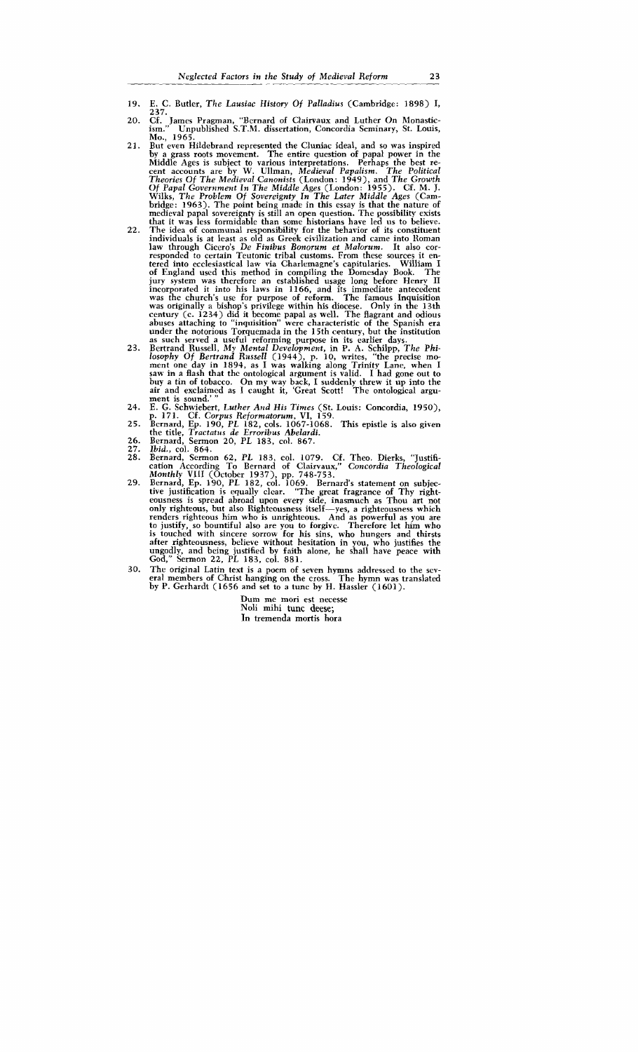- Neglected I<br>Neglected I<br>19. E. C. Butler, The E. C. Butler, The Lausiac History Of Palladius (Cambridge: 1898) I,  $237.$
- 20. Cf. James Pragman, "Bernard of Clairvaux and Luther On Monastic-<br>ism." Unpublished S.T.M. dissertation, Concordia Seminary, St. Louis, Mo., 1965.
- $21.$ But even Hildebrand represented the Cluniac ideal, and so was inspired by a grass roots movement. The entire question of papal power in the Middle Ages is subject to various interpretations. Perhaps the best recent accounts are by W. Ullman, Medieval Papalism. The Political Theories Of The Medieval Canonists (London: 1949), and The Growth Of Papal Government In The Middle Ages (London: 1955). Cf. M. J. Wilks, The Problem Of Sovereignty In The Later Middle Ages (Cambridge: 1963). The point being made in this essay is that the nature of medieval papal sovereignty is still an open question. The possibility exists that it was less formidable than some historians have led 11s to believe.
- 22. The idea of communal responsibility for the behavior of its constituent individuals is at least as old as Greek civilization and came into Roman law through Cicero's *De Finibus Bonorum et Malorum.* It also corresponded to certain Teutonic tribal customs. From these sources it en- tered into ecclesiastical law via Charlemagne's capitularies. William I of England used this method in compiling the Domcsday Book. The jury system was therefore an established usage long before Henry II incorporated it into his laws in 1166, and its immediate antecedent was the church's use for purpose of reform. The famous Inquisition was originally a bi was originally a bishop's privilege within his diocese. Only in the 13th<br>century (c. 1234) did it become papal as well. The flagrant and odious<br>abuses attaching to "inquisition" were characteristic of the Spanish era abuses attaching to "inquisition" were characteristic of the Spanish era under the notorious Torquemada in the 15th century, but the institution as such served a useful reforming purpose in its earlier days.
- 23. Bertrand Russell, *My Mental Development*, in P. A. Schilpp, *The Philosophy Of Bertrand Russell* (1944), p. 10, writes, "the precise moment one day in 1894, as I was walking along Trinity Lane, when I saw in a flash that buy a tin of tobacco. On my way back, I suddenly threw it up into the air and exclaimed as I caught it, Great Scott! The ontological argument is sound.'
- 24. E. G. Schwiebert, Luther And His Times (St. Louis: Concordia, 1950), p. 171. Cf. Corpus Reformatorum, VI, 159.
- 25. Bernard, Ep. 190, PL 182, cols. 1067-1068. This epistle is also given<br>the title, *Tractatus de Erroribus Abelardi*. the title, *Tractatus de Erroribus Abelardi*.<br>Bernard, Sermon 20, PL 183, col. 867.
- 26.
- 27. Ibid., coI. 864.
- 28. Bernard, Sermon 62, PL 183, col. 1079. Cf. Theo. Dierks, "Justification According To Bernard of Clairvaux," Concordia Theological Monthly VlII (October 1937), pp. 748-753.
- 29. Bernard, Ep. 190, PL 182, col. 1069. Bernard's statement on subjective justification is equally clcar. "The great fragrance of Thy righteousness is spread abroad upon every side, inasmuch as Thou art not only righteous, but also Righteousness itself-yes, a righteousness which renders righteous him who is unrighteous. And as powerful as you are to justify, so bountiful also are you to forgivc. Therefore let him who is touched with sincere sorrow for his sins, who hungers and thirsts after righteousness, believe without hesitation in you, who justifies the ungodly, and being justified by faith alone, he shall have peace with God," Sermon 22, PL 183, col. 881.
- 30. The original Latin text is a poem of seven hymns addressed to the scv-<br>eral members of Christ hanging on the cross. The hymn was translated<br>by P. Gerhardt (1656 and set to a tunc by H. Hassler (1601).

Durn me mori est necesse Noli mihi **tunc deese;**  In tremenda mortis hora